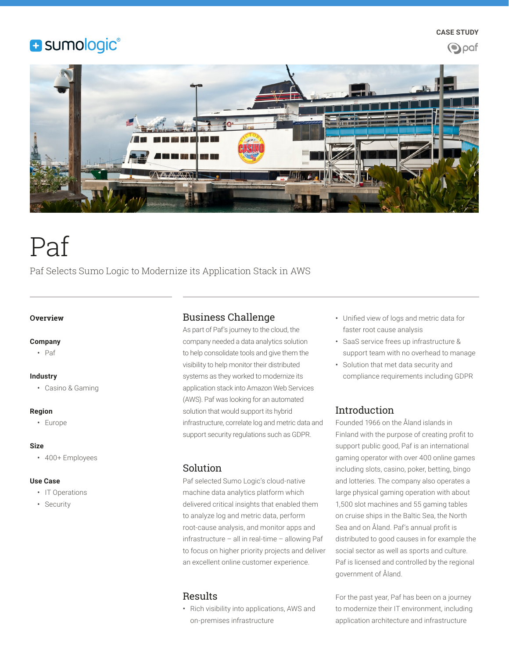# **B** sumologic®





# Paf

Paf Selects Sumo Logic to Modernize its Application Stack in AWS

#### **Overview**

#### **Company**

• Paf

#### **Industry**

• Casino & Gaming

#### **Region**

• Europe

#### **Size**

• 400+ Employees

#### **Use Case**

- IT Operations
- Security

# Business Challenge

As part of Paf's journey to the cloud, the company needed a data analytics solution to help consolidate tools and give them the visibility to help monitor their distributed systems as they worked to modernize its application stack into Amazon Web Services (AWS). Paf was looking for an automated solution that would support its hybrid infrastructure, correlate log and metric data and support security regulations such as GDPR.

## Solution

Paf selected Sumo Logic's cloud-native machine data analytics platform which delivered critical insights that enabled them to analyze log and metric data, perform root-cause analysis, and monitor apps and infrastructure – all in real-time – allowing Paf to focus on higher priority projects and deliver an excellent online customer experience.

# Results

• Rich visibility into applications, AWS and on-premises infrastructure

- Unified view of logs and metric data for faster root cause analysis
- SaaS service frees up infrastructure & support team with no overhead to manage
- Solution that met data security and compliance requirements including GDPR

# Introduction

Founded 1966 on the Åland islands in Finland with the purpose of creating profit to support public good, Paf is an international gaming operator with over 400 online games including slots, casino, poker, betting, bingo and lotteries. The company also operates a large physical gaming operation with about 1,500 slot machines and 55 gaming tables on cruise ships in the Baltic Sea, the North Sea and on Åland. Paf's annual profit is distributed to good causes in for example the social sector as well as sports and culture. Paf is licensed and controlled by the regional government of Åland.

For the past year, Paf has been on a journey to modernize their IT environment, including application architecture and infrastructure